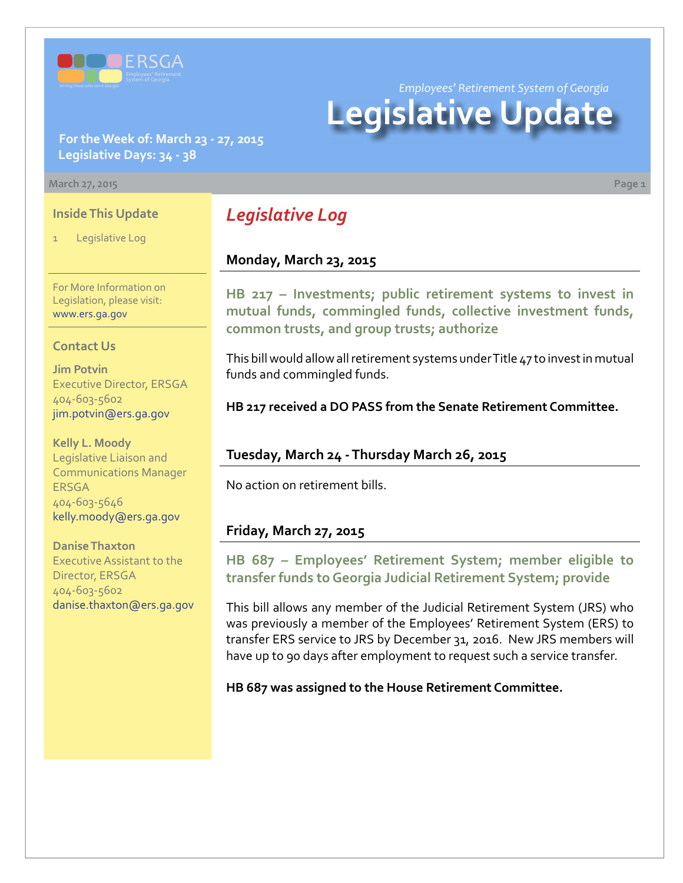

*Employees' Retirement System of Georgia*

# **Legislative Update**

**For the Week of: March 23 - 27, 2015 Legislative Days: 34 - 38**

#### **March 27, 2015 Page 1**

#### **Inside This Update**

Legislative Log

For More Information on Legislation, please visit: [www.ers.ga.gov](http://www.ers.ga.gov/default.aspx)

#### **Contact Us**

**Jim Potvin** Executive Director, ERSGA 404-603-5602 jim.potvin@ers.ga.gov

**Kelly L. Moody** Legislative Liaison and Communications Manager ERSGA 404-603-5646 kelly.moody@ers.ga.gov

**Danise Thaxton** Executive Assistant to the Director, ERSGA 404-603-5602 danise.thaxton@ers.ga.gov

# *Legislative Log*

#### **Monday, March 23, 2015**

**HB [217 – I](http://www.legis.ga.gov/legislation/en-US/Display/20152016/HB/217)nvestments; public retirement systems to invest in mutual funds, commingled funds, collective investment funds, common trusts, and group trusts; authorize**

This bill would allow all retirement systems under Title 47 to invest in mutual funds and commingled funds.

**HB 217 received a DO PASS from the Senate Retirement Committee.**

## **Tuesday, March 24 - Thursday March 26, 2015**

No action on retirement bills.

## **Friday, March 27, 2015**

## **HB [687 –](http://www.legis.ga.gov/legislation/en-US/Display/20152016/HB/687) Employees' Retirement System; member eligible to transfer funds to Georgia Judicial Retirement System; provide**

This bill allows any member of the Judicial Retirement System (JRS) who was previously a member of the Employees' Retirement System (ERS) to transfer ERS service to JRS by December 31, 2016. New JRS members will have up to 90 days after employment to request such a service transfer.

**HB 687 was assigned to the House Retirement Committee.**